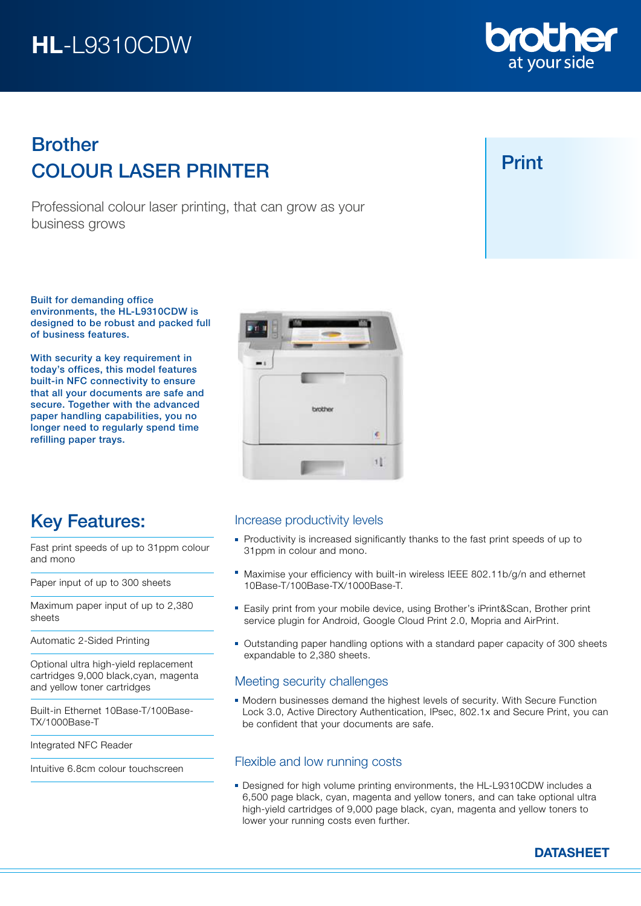# HL-L9310CDW

# COLOUR LASER PRINTER Brother

Professional colour laser printing, that can grow as your business grows

Built for demanding office environments, the HL-L9310CDW is designed to be robust and packed full of business features.

With security a key requirement in today's offices, this model features built-in NFC connectivity to ensure that all your documents are safe and secure. Together with the advanced paper handling capabilities, you no longer need to regularly spend time refilling paper trays.

Fast print speeds of up to 31ppm colour

Key Features:

Paper input of up to 300 sheets

Automatic 2-Sided Printing

and yellow toner cartridges

Integrated NFC Reader

TX/1000Base-T

Maximum paper input of up to 2,380

Optional ultra high-yield replacement cartridges 9,000 black,cyan, magenta

Built-in Ethernet 10Base-T/100Base-

Intuitive 6.8cm colour touchscreen

and mono

sheets

### Increase productivity levels

- **Productivity is increased significantly thanks to the fast print speeds of up to** 31ppm in colour and mono.
- Maximise your efficiency with built-in wireless IEEE 802.11b/g/n and ethernet 10Base-T/100Base-TX/1000Base-T.
- Easily print from your mobile device, using Brother's iPrint&Scan, Brother print service plugin for Android, Google Cloud Print 2.0, Mopria and AirPrint.
- Outstanding paper handling options with a standard paper capacity of 300 sheets expandable to 2,380 sheets.

### Meeting security challenges

Modern businesses demand the highest levels of security. With Secure Function Lock 3.0, Active Directory Authentication, IPsec, 802.1x and Secure Print, you can be confident that your documents are safe.

### Flexible and low running costs

Designed for high volume printing environments, the HL-L9310CDW includes a 6,500 page black, cyan, magenta and yellow toners, and can take optional ultra high-yield cartridges of 9,000 page black, cyan, magenta and yellow toners to lower your running costs even further.





## Print



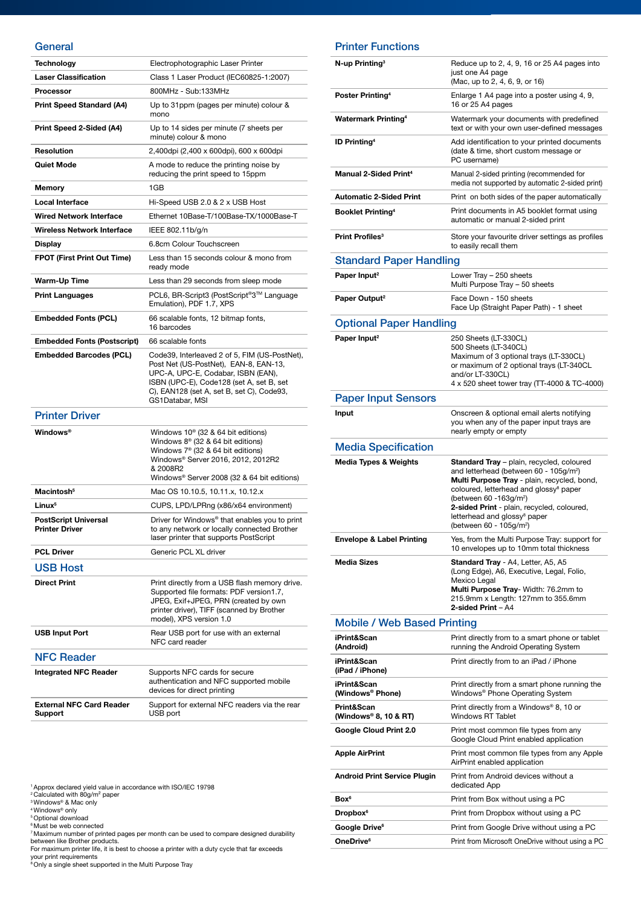### **General**

| Technology                                           | Electrophotographic Laser Printer                                                                                                                                                                                                           |
|------------------------------------------------------|---------------------------------------------------------------------------------------------------------------------------------------------------------------------------------------------------------------------------------------------|
| <b>Laser Classification</b>                          | Class 1 Laser Product (IEC60825-1:2007)                                                                                                                                                                                                     |
| <b>Processor</b>                                     | 800MHz - Sub:133MHz                                                                                                                                                                                                                         |
| <b>Print Speed Standard (A4)</b>                     | Up to 31ppm (pages per minute) colour &<br>mono                                                                                                                                                                                             |
| Print Speed 2-Sided (A4)                             | Up to 14 sides per minute (7 sheets per<br>minute) colour & mono                                                                                                                                                                            |
| <b>Resolution</b>                                    | 2,400dpi (2,400 x 600dpi), 600 x 600dpi                                                                                                                                                                                                     |
| <b>Quiet Mode</b>                                    | A mode to reduce the printing noise by<br>reducing the print speed to 15ppm                                                                                                                                                                 |
| Memory                                               | 1GB                                                                                                                                                                                                                                         |
| <b>Local Interface</b>                               | Hi-Speed USB 2.0 & 2 x USB Host                                                                                                                                                                                                             |
| <b>Wired Network Interface</b>                       | Ethernet 10Base-T/100Base-TX/1000Base-T                                                                                                                                                                                                     |
| <b>Wireless Network Interface</b>                    | IEEE 802.11b/g/n                                                                                                                                                                                                                            |
| <b>Display</b>                                       | 6.8cm Colour Touchscreen                                                                                                                                                                                                                    |
| <b>FPOT (First Print Out Time)</b>                   | Less than 15 seconds colour & mono from<br>ready mode                                                                                                                                                                                       |
| Warm-Up Time                                         | Less than 29 seconds from sleep mode                                                                                                                                                                                                        |
| <b>Print Languages</b>                               | PCL6, BR-Script3 (PostScript®3™ Language<br>Emulation), PDF 1.7, XPS                                                                                                                                                                        |
| <b>Embedded Fonts (PCL)</b>                          | 66 scalable fonts, 12 bitmap fonts,<br>16 barcodes                                                                                                                                                                                          |
| <b>Embedded Fonts (Postscript)</b>                   | 66 scalable fonts                                                                                                                                                                                                                           |
| <b>Embedded Barcodes (PCL)</b>                       | Code39, Interleaved 2 of 5, FIM (US-PostNet),<br>Post Net (US-PostNet), EAN-8, EAN-13,<br>UPC-A, UPC-E, Codabar, ISBN (EAN),<br>ISBN (UPC-E), Code128 (set A, set B, set<br>C), EAN128 (set A, set B, set C), Code93,<br>GS1Databar, MSI    |
| <b>Printer Driver</b>                                |                                                                                                                                                                                                                                             |
| <b>Windows®</b>                                      | Windows $10^{\circ}$ (32 & 64 bit editions)<br>Windows $8^{\circ}$ (32 & 64 bit editions)<br>Windows 7 <sup>®</sup> (32 & 64 bit editions)<br>Windows® Server 2016, 2012, 2012R2<br>& 2008R2<br>Windows® Server 2008 (32 & 64 bit editions) |
| Macintosh <sup>5</sup>                               | Mac OS 10.10.5, 10.11.x, 10.12.x                                                                                                                                                                                                            |
| Linux <sup>5</sup>                                   | CUPS, LPD/LPRng (x86/x64 environment)                                                                                                                                                                                                       |
| <b>PostScript Universal</b><br><b>Printer Driver</b> | Driver for Windows <sup>®</sup> that enables you to print<br>to any network or locally connected Brother<br>laser printer that supports PostScript                                                                                          |
| <b>PCL Driver</b>                                    | Generic PCL XL driver                                                                                                                                                                                                                       |
| <b>USB Host</b>                                      |                                                                                                                                                                                                                                             |
| <b>Direct Print</b>                                  | Print directly from a USB flash memory drive.<br>Supported file formats: PDF version1.7,<br>JPEG, Exif+JPEG, PRN (created by own<br>printer driver), TIFF (scanned by Brother<br>model), XPS version 1.0                                    |
|                                                      |                                                                                                                                                                                                                                             |
| <b>USB Input Port</b>                                | Rear USB port for use with an external<br>NFC card reader                                                                                                                                                                                   |
| <b>NFC Reader</b>                                    |                                                                                                                                                                                                                                             |
| <b>Integrated NFC Reader</b>                         | Supports NFC cards for secure<br>authentication and NFC supported mobile<br>devices for direct printing                                                                                                                                     |

Printer Functions

| N-up Printing <sup>3</sup>           | Reduce up to 2, 4, 9, 16 or 25 A4 pages into<br>just one A4 page<br>(Mac, up to 2, 4, 6, 9, or 16)                                                                                                                                                                                                                                                                          |
|--------------------------------------|-----------------------------------------------------------------------------------------------------------------------------------------------------------------------------------------------------------------------------------------------------------------------------------------------------------------------------------------------------------------------------|
| Poster Printing <sup>4</sup>         | Enlarge 1 A4 page into a poster using 4, 9,<br>16 or 25 A4 pages                                                                                                                                                                                                                                                                                                            |
| <b>Watermark Printing4</b>           | Watermark your documents with predefined<br>text or with your own user-defined messages                                                                                                                                                                                                                                                                                     |
| <b>ID Printing<sup>4</sup></b>       | Add identification to your printed documents<br>(date & time, short custom message or<br>PC username)                                                                                                                                                                                                                                                                       |
| <b>Manual 2-Sided Print4</b>         | Manual 2-sided printing (recommended for<br>media not supported by automatic 2-sided print)                                                                                                                                                                                                                                                                                 |
| <b>Automatic 2-Sided Print</b>       | Print on both sides of the paper automatically                                                                                                                                                                                                                                                                                                                              |
| <b>Booklet Printing4</b>             | Print documents in A5 booklet format using<br>automatic or manual 2-sided print                                                                                                                                                                                                                                                                                             |
| Print Profiles <sup>3</sup>          | Store your favourite driver settings as profiles<br>to easily recall them                                                                                                                                                                                                                                                                                                   |
| <b>Standard Paper Handling</b>       |                                                                                                                                                                                                                                                                                                                                                                             |
| Paper Input <sup>2</sup>             | Lower Tray - 250 sheets<br>Multi Purpose Tray - 50 sheets                                                                                                                                                                                                                                                                                                                   |
| Paper Output <sup>2</sup>            | Face Down - 150 sheets<br>Face Up (Straight Paper Path) - 1 sheet                                                                                                                                                                                                                                                                                                           |
| <b>Optional Paper Handling</b>       |                                                                                                                                                                                                                                                                                                                                                                             |
| Paper Input <sup>2</sup>             | 250 Sheets (LT-330CL)<br>500 Sheets (LT-340CL)<br>Maximum of 3 optional trays (LT-330CL)<br>or maximum of 2 optional trays (LT-340CL<br>and/or LT-330CL)<br>4 x 520 sheet tower tray (TT-4000 & TC-4000)                                                                                                                                                                    |
| <b>Paper Input Sensors</b>           |                                                                                                                                                                                                                                                                                                                                                                             |
| Input                                | Onscreen & optional email alerts notifying<br>you when any of the paper input trays are<br>nearly empty or empty                                                                                                                                                                                                                                                            |
| <b>Media Specification</b>           |                                                                                                                                                                                                                                                                                                                                                                             |
|                                      |                                                                                                                                                                                                                                                                                                                                                                             |
| <b>Media Types &amp; Weights</b>     | Standard Tray - plain, recycled, coloured<br>and letterhead (between 60 - 105g/m <sup>2</sup> )<br>Multi Purpose Tray - plain, recycled, bond,<br>coloured, letterhead and glossy <sup>8</sup> paper<br>(between 60 -163g/m <sup>2</sup> )<br>2-sided Print - plain, recycled, coloured,<br>letterhead and glossy <sup>8</sup> paper<br>(between 60 - 105g/m <sup>2</sup> ) |
| <b>Envelope &amp; Label Printing</b> | Yes, from the Multi Purpose Tray: support for<br>10 envelopes up to 10mm total thickness                                                                                                                                                                                                                                                                                    |
| <b>Media Sizes</b>                   | <b>Standard Tray</b> - A4, Letter, A5, A5<br>(Long Edge), A6, Executive, Legal, Folio,<br>Mexico Legal<br>Multi Purpose Tray- Width: 76.2mm to<br>215.9mm x Length: 127mm to 355.6mm<br>2-sided Print - A4                                                                                                                                                                  |
| <b>Mobile / Web Based Printing</b>   |                                                                                                                                                                                                                                                                                                                                                                             |
| iPrint&Scan<br>(Android)             | Print directly from to a smart phone or tablet<br>running the Android Operating System                                                                                                                                                                                                                                                                                      |
| iPrint&Scan<br>(iPad / iPhone)       | Print directly from to an iPad / iPhone                                                                                                                                                                                                                                                                                                                                     |
| iPrint&Scan<br>(Windows® Phone)      | Print directly from a smart phone running the<br>Windows® Phone Operating System                                                                                                                                                                                                                                                                                            |
| Print&Scan<br>(Windows® 8, 10 & RT)  | Print directly from a Windows® 8, 10 or<br><b>Windows RT Tablet</b>                                                                                                                                                                                                                                                                                                         |
| Google Cloud Print 2.0               | Print most common file types from any<br>Google Cloud Print enabled application                                                                                                                                                                                                                                                                                             |
| <b>Apple AirPrint</b>                | Print most common file types from any Apple<br>AirPrint enabled application                                                                                                                                                                                                                                                                                                 |
| <b>Android Print Service Plugin</b>  | Print from Android devices without a<br>dedicated App                                                                                                                                                                                                                                                                                                                       |
| Box <sup>6</sup>                     | Print from Box without using a PC                                                                                                                                                                                                                                                                                                                                           |
| Dropbox <sup>6</sup>                 | Print from Dropbox without using a PC                                                                                                                                                                                                                                                                                                                                       |
| Google Drive <sup>6</sup>            | Print from Google Drive without using a PC                                                                                                                                                                                                                                                                                                                                  |

- 
- 

" Approx declared yield value in accordance with ISO/IEC 19798<br>" Calculated with 800/m<sup>2</sup> paper<br>" Windows" & Mac only<br>" Windows" any<br>" Optional download<br>" Must be web connected<br>" Maximum number of printed pages per month c